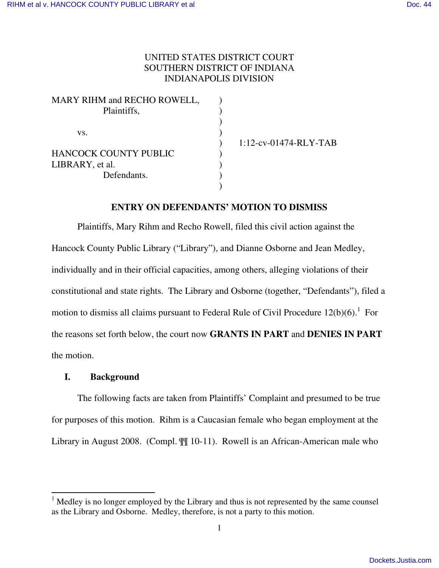# UNITED STATES DISTRICT COURT SOUTHERN DISTRICT OF INDIANA INDIANAPOLIS DIVISION

| MARY RIHM and RECHO ROWELL,  |  |
|------------------------------|--|
| Plaintiffs,                  |  |
|                              |  |
| VS.                          |  |
|                              |  |
| <b>HANCOCK COUNTY PUBLIC</b> |  |
| LIBRARY, et al.              |  |
| Defendants.                  |  |
|                              |  |

1:12-cv-01474-RLY-TAB

## **ENTRY ON DEFENDANTS' MOTION TO DISMISS**

 Plaintiffs, Mary Rihm and Recho Rowell, filed this civil action against the Hancock County Public Library ("Library"), and Dianne Osborne and Jean Medley, individually and in their official capacities, among others, alleging violations of their constitutional and state rights. The Library and Osborne (together, "Defendants"), filed a motion to dismiss all claims pursuant to Federal Rule of Civil Procedure  $12(b)(6)$ .<sup>1</sup> For the reasons set forth below, the court now **GRANTS IN PART** and **DENIES IN PART** the motion.

## **I. Background**

-

The following facts are taken from Plaintiffs' Complaint and presumed to be true for purposes of this motion. Rihm is a Caucasian female who began employment at the Library in August 2008. (Compl.  $\P\P$  10-11). Rowell is an African-American male who

 $<sup>1</sup>$  Medley is no longer employed by the Library and thus is not represented by the same counsel</sup> as the Library and Osborne. Medley, therefore, is not a party to this motion.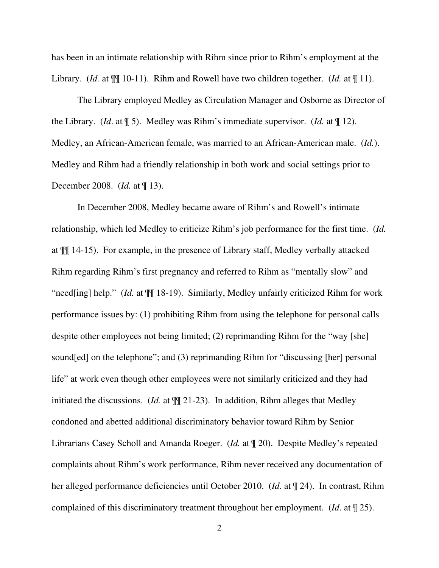has been in an intimate relationship with Rihm since prior to Rihm's employment at the Library. (*Id.* at  $\P$ [[ 10-11). Rihm and Rowell have two children together. (*Id.* at [[ 11).

The Library employed Medley as Circulation Manager and Osborne as Director of the Library. (*Id*. at ¶ 5). Medley was Rihm's immediate supervisor. (*Id.* at ¶ 12). Medley, an African-American female, was married to an African-American male. (*Id.*). Medley and Rihm had a friendly relationship in both work and social settings prior to December 2008. (*Id.* at ¶ 13).

In December 2008, Medley became aware of Rihm's and Rowell's intimate relationship, which led Medley to criticize Rihm's job performance for the first time. (*Id.* at ¶¶ 14-15). For example, in the presence of Library staff, Medley verbally attacked Rihm regarding Rihm's first pregnancy and referred to Rihm as "mentally slow" and "need[ing] help." (*Id.* at ¶¶ 18-19). Similarly, Medley unfairly criticized Rihm for work performance issues by: (1) prohibiting Rihm from using the telephone for personal calls despite other employees not being limited; (2) reprimanding Rihm for the "way [she] sound[ed] on the telephone"; and (3) reprimanding Rihm for "discussing [her] personal life" at work even though other employees were not similarly criticized and they had initiated the discussions. (*Id.* at  $\P$  21-23). In addition, Rihm alleges that Medley condoned and abetted additional discriminatory behavior toward Rihm by Senior Librarians Casey Scholl and Amanda Roeger. (*Id.* at ¶ 20). Despite Medley's repeated complaints about Rihm's work performance, Rihm never received any documentation of her alleged performance deficiencies until October 2010. (*Id*. at ¶ 24). In contrast, Rihm complained of this discriminatory treatment throughout her employment. (*Id*. at ¶ 25).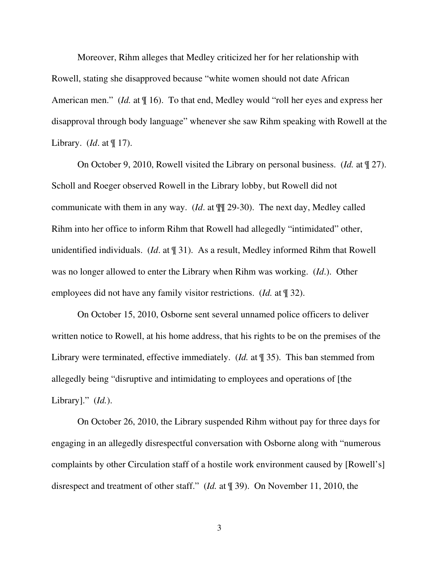Moreover, Rihm alleges that Medley criticized her for her relationship with Rowell, stating she disapproved because "white women should not date African American men." *(Id.* at  $\P$  16). To that end, Medley would "roll her eyes and express her disapproval through body language" whenever she saw Rihm speaking with Rowell at the Library. (*Id*. at ¶ 17).

On October 9, 2010, Rowell visited the Library on personal business. (*Id.* at ¶ 27). Scholl and Roeger observed Rowell in the Library lobby, but Rowell did not communicate with them in any way. (*Id*. at ¶¶ 29-30). The next day, Medley called Rihm into her office to inform Rihm that Rowell had allegedly "intimidated" other, unidentified individuals. (*Id*. at ¶ 31). As a result, Medley informed Rihm that Rowell was no longer allowed to enter the Library when Rihm was working. (*Id*.). Other employees did not have any family visitor restrictions. (*Id.* at ¶ 32).

On October 15, 2010, Osborne sent several unnamed police officers to deliver written notice to Rowell, at his home address, that his rights to be on the premises of the Library were terminated, effective immediately. (*Id.* at ¶ 35). This ban stemmed from allegedly being "disruptive and intimidating to employees and operations of [the Library]." (*Id.*).

On October 26, 2010, the Library suspended Rihm without pay for three days for engaging in an allegedly disrespectful conversation with Osborne along with "numerous complaints by other Circulation staff of a hostile work environment caused by [Rowell's] disrespect and treatment of other staff." (*Id.* at ¶ 39). On November 11, 2010, the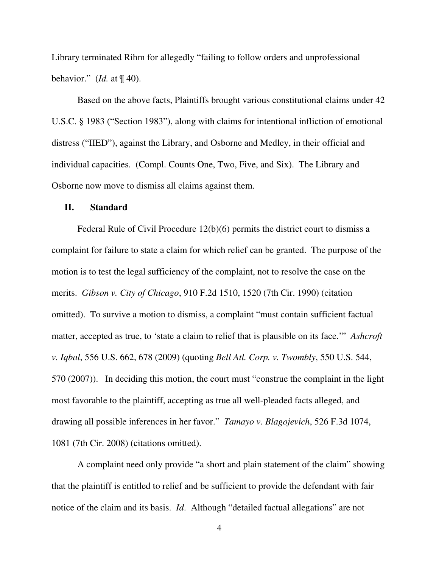Library terminated Rihm for allegedly "failing to follow orders and unprofessional behavior." (*Id.* at ¶ 40).

Based on the above facts, Plaintiffs brought various constitutional claims under 42 U.S.C. § 1983 ("Section 1983"), along with claims for intentional infliction of emotional distress ("IIED"), against the Library, and Osborne and Medley, in their official and individual capacities. (Compl. Counts One, Two, Five, and Six). The Library and Osborne now move to dismiss all claims against them.

### **II. Standard**

Federal Rule of Civil Procedure 12(b)(6) permits the district court to dismiss a complaint for failure to state a claim for which relief can be granted. The purpose of the motion is to test the legal sufficiency of the complaint, not to resolve the case on the merits. *Gibson v. City of Chicago*, 910 F.2d 1510, 1520 (7th Cir. 1990) (citation omitted). To survive a motion to dismiss, a complaint "must contain sufficient factual matter, accepted as true, to 'state a claim to relief that is plausible on its face.'" *Ashcroft v. Iqbal*, 556 U.S. 662, 678 (2009) (quoting *Bell Atl. Corp. v. Twombly*, 550 U.S. 544, 570 (2007)). In deciding this motion, the court must "construe the complaint in the light most favorable to the plaintiff, accepting as true all well-pleaded facts alleged, and drawing all possible inferences in her favor." *Tamayo v. Blagojevich*, 526 F.3d 1074, 1081 (7th Cir. 2008) (citations omitted).

A complaint need only provide "a short and plain statement of the claim" showing that the plaintiff is entitled to relief and be sufficient to provide the defendant with fair notice of the claim and its basis. *Id*. Although "detailed factual allegations" are not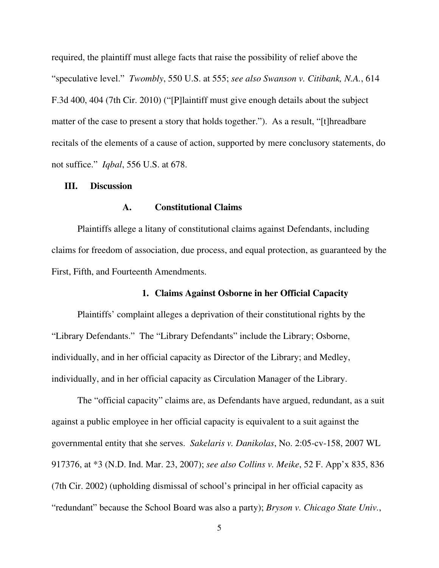required, the plaintiff must allege facts that raise the possibility of relief above the "speculative level." *Twombly*, 550 U.S. at 555; *see also Swanson v. Citibank, N.A.*, 614 F.3d 400, 404 (7th Cir. 2010) ("[P]laintiff must give enough details about the subject matter of the case to present a story that holds together."). As a result, "[t]hreadbare recitals of the elements of a cause of action, supported by mere conclusory statements, do not suffice." *Iqbal*, 556 U.S. at 678.

## **III. Discussion**

### **A. Constitutional Claims**

Plaintiffs allege a litany of constitutional claims against Defendants, including claims for freedom of association, due process, and equal protection, as guaranteed by the First, Fifth, and Fourteenth Amendments.

## **1. Claims Against Osborne in her Official Capacity**

Plaintiffs' complaint alleges a deprivation of their constitutional rights by the "Library Defendants." The "Library Defendants" include the Library; Osborne, individually, and in her official capacity as Director of the Library; and Medley, individually, and in her official capacity as Circulation Manager of the Library.

The "official capacity" claims are, as Defendants have argued, redundant, as a suit against a public employee in her official capacity is equivalent to a suit against the governmental entity that she serves. *Sakelaris v. Danikolas*, No. 2:05-cv-158, 2007 WL 917376, at \*3 (N.D. Ind. Mar. 23, 2007); *see also Collins v. Meike*, 52 F. App'x 835, 836 (7th Cir. 2002) (upholding dismissal of school's principal in her official capacity as "redundant" because the School Board was also a party); *Bryson v. Chicago State Univ.*,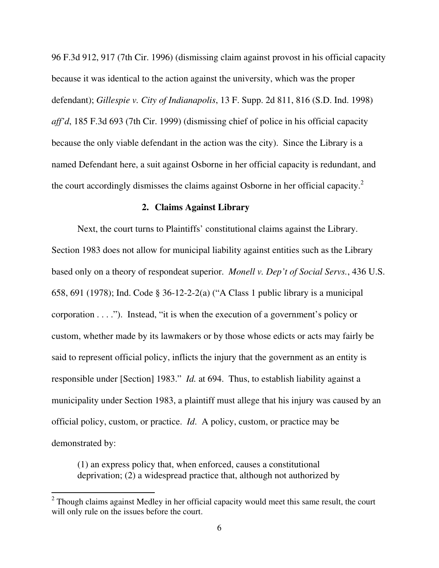96 F.3d 912, 917 (7th Cir. 1996) (dismissing claim against provost in his official capacity because it was identical to the action against the university, which was the proper defendant); *Gillespie v. City of Indianapolis*, 13 F. Supp. 2d 811, 816 (S.D. Ind. 1998) *aff'd*, 185 F.3d 693 (7th Cir. 1999) (dismissing chief of police in his official capacity because the only viable defendant in the action was the city). Since the Library is a named Defendant here, a suit against Osborne in her official capacity is redundant, and the court accordingly dismisses the claims against Osborne in her official capacity.<sup>2</sup>

### **2. Claims Against Library**

Next, the court turns to Plaintiffs' constitutional claims against the Library. Section 1983 does not allow for municipal liability against entities such as the Library based only on a theory of respondeat superior. *Monell v. Dep't of Social Servs.*, 436 U.S. 658, 691 (1978); Ind. Code § 36-12-2-2(a) ("A Class 1 public library is a municipal corporation . . . ."). Instead, "it is when the execution of a government's policy or custom, whether made by its lawmakers or by those whose edicts or acts may fairly be said to represent official policy, inflicts the injury that the government as an entity is responsible under [Section] 1983." *Id.* at 694. Thus, to establish liability against a municipality under Section 1983, a plaintiff must allege that his injury was caused by an official policy, custom, or practice. *Id*. A policy, custom, or practice may be demonstrated by:

(1) an express policy that, when enforced, causes a constitutional deprivation; (2) a widespread practice that, although not authorized by

-

 $2$  Though claims against Medley in her official capacity would meet this same result, the court will only rule on the issues before the court.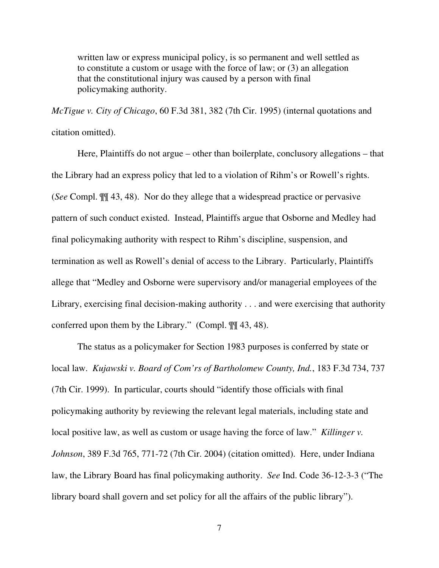written law or express municipal policy, is so permanent and well settled as to constitute a custom or usage with the force of law; or (3) an allegation that the constitutional injury was caused by a person with final policymaking authority.

*McTigue v. City of Chicago*, 60 F.3d 381, 382 (7th Cir. 1995) (internal quotations and citation omitted).

 Here, Plaintiffs do not argue – other than boilerplate, conclusory allegations – that the Library had an express policy that led to a violation of Rihm's or Rowell's rights. (*See* Compl. ¶¶ 43, 48). Nor do they allege that a widespread practice or pervasive pattern of such conduct existed. Instead, Plaintiffs argue that Osborne and Medley had final policymaking authority with respect to Rihm's discipline, suspension, and termination as well as Rowell's denial of access to the Library. Particularly, Plaintiffs allege that "Medley and Osborne were supervisory and/or managerial employees of the Library, exercising final decision-making authority . . . and were exercising that authority conferred upon them by the Library." (Compl. ¶¶ 43, 48).

The status as a policymaker for Section 1983 purposes is conferred by state or local law. *Kujawski v. Board of Com'rs of Bartholomew County, Ind.*, 183 F.3d 734, 737 (7th Cir. 1999). In particular, courts should "identify those officials with final policymaking authority by reviewing the relevant legal materials, including state and local positive law, as well as custom or usage having the force of law." *Killinger v. Johnson*, 389 F.3d 765, 771-72 (7th Cir. 2004) (citation omitted). Here, under Indiana law, the Library Board has final policymaking authority. *See* Ind. Code 36-12-3-3 ("The library board shall govern and set policy for all the affairs of the public library").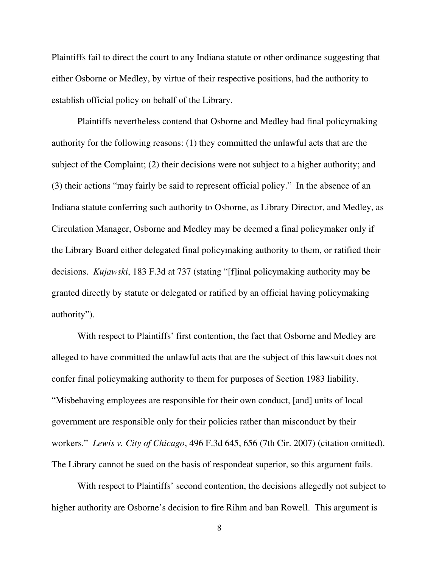Plaintiffs fail to direct the court to any Indiana statute or other ordinance suggesting that either Osborne or Medley, by virtue of their respective positions, had the authority to establish official policy on behalf of the Library.

Plaintiffs nevertheless contend that Osborne and Medley had final policymaking authority for the following reasons: (1) they committed the unlawful acts that are the subject of the Complaint; (2) their decisions were not subject to a higher authority; and (3) their actions "may fairly be said to represent official policy." In the absence of an Indiana statute conferring such authority to Osborne, as Library Director, and Medley, as Circulation Manager, Osborne and Medley may be deemed a final policymaker only if the Library Board either delegated final policymaking authority to them, or ratified their decisions. *Kujawski*, 183 F.3d at 737 (stating "[f]inal policymaking authority may be granted directly by statute or delegated or ratified by an official having policymaking authority").

With respect to Plaintiffs' first contention, the fact that Osborne and Medley are alleged to have committed the unlawful acts that are the subject of this lawsuit does not confer final policymaking authority to them for purposes of Section 1983 liability. "Misbehaving employees are responsible for their own conduct, [and] units of local government are responsible only for their policies rather than misconduct by their workers." *Lewis v. City of Chicago*, 496 F.3d 645, 656 (7th Cir. 2007) (citation omitted). The Library cannot be sued on the basis of respondeat superior, so this argument fails.

With respect to Plaintiffs' second contention, the decisions allegedly not subject to higher authority are Osborne's decision to fire Rihm and ban Rowell. This argument is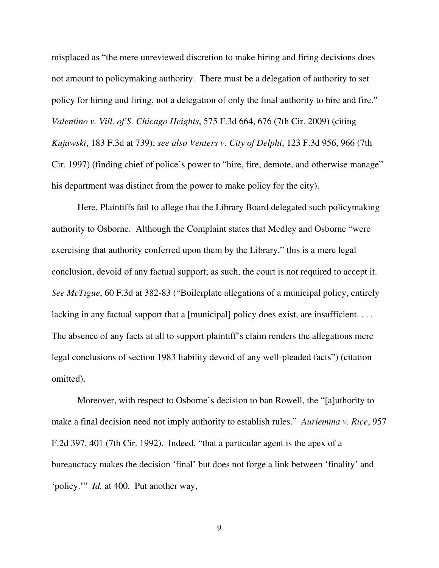misplaced as "the mere unreviewed discretion to make hiring and firing decisions does not amount to policymaking authority. There must be a delegation of authority to set policy for hiring and firing, not a delegation of only the final authority to hire and fire." *Valentino v. Vill. of S. Chicago Heights*, 575 F.3d 664, 676 (7th Cir. 2009) (citing *Kujawski*, 183 F.3d at 739); *see also Venters v. City of Delphi*, 123 F.3d 956, 966 (7th Cir. 1997) (finding chief of police's power to "hire, fire, demote, and otherwise manage" his department was distinct from the power to make policy for the city).

Here, Plaintiffs fail to allege that the Library Board delegated such policymaking authority to Osborne. Although the Complaint states that Medley and Osborne "were exercising that authority conferred upon them by the Library," this is a mere legal conclusion, devoid of any factual support; as such, the court is not required to accept it. *See McTigue*, 60 F.3d at 382-83 ("Boilerplate allegations of a municipal policy, entirely lacking in any factual support that a [municipal] policy does exist, are insufficient... The absence of any facts at all to support plaintiff's claim renders the allegations mere legal conclusions of section 1983 liability devoid of any well-pleaded facts") (citation omitted).

Moreover, with respect to Osborne's decision to ban Rowell, the "[a]uthority to make a final decision need not imply authority to establish rules." *Auriemma v. Rice*, 957 F.2d 397, 401 (7th Cir. 1992). Indeed, "that a particular agent is the apex of a bureaucracy makes the decision 'final' but does not forge a link between 'finality' and 'policy.'" *Id.* at 400. Put another way,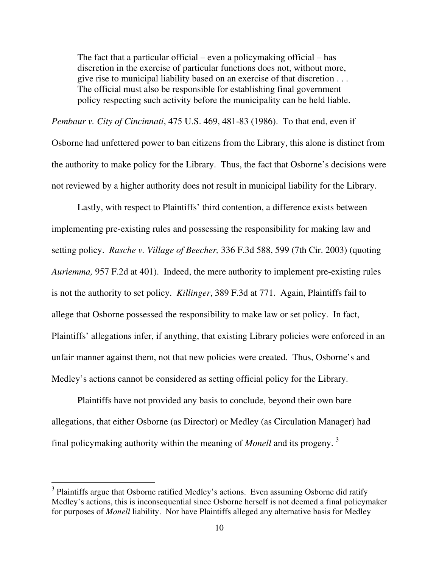The fact that a particular official – even a policymaking official – has discretion in the exercise of particular functions does not, without more, give rise to municipal liability based on an exercise of that discretion . . . The official must also be responsible for establishing final government policy respecting such activity before the municipality can be held liable.

*Pembaur v. City of Cincinnati*, 475 U.S. 469, 481-83 (1986). To that end, even if Osborne had unfettered power to ban citizens from the Library, this alone is distinct from the authority to make policy for the Library. Thus, the fact that Osborne's decisions were not reviewed by a higher authority does not result in municipal liability for the Library.

Lastly, with respect to Plaintiffs' third contention, a difference exists between implementing pre-existing rules and possessing the responsibility for making law and setting policy. *Rasche v. Village of Beecher,* 336 F.3d 588, 599 (7th Cir. 2003) (quoting *Auriemma,* 957 F.2d at 401). Indeed, the mere authority to implement pre-existing rules is not the authority to set policy. *Killinger*, 389 F.3d at 771. Again, Plaintiffs fail to allege that Osborne possessed the responsibility to make law or set policy. In fact, Plaintiffs' allegations infer, if anything, that existing Library policies were enforced in an unfair manner against them, not that new policies were created. Thus, Osborne's and Medley's actions cannot be considered as setting official policy for the Library.

Plaintiffs have not provided any basis to conclude, beyond their own bare allegations, that either Osborne (as Director) or Medley (as Circulation Manager) had final policymaking authority within the meaning of *Monell* and its progeny. <sup>3</sup>

<sup>&</sup>lt;sup>3</sup> Plaintiffs argue that Osborne ratified Medley's actions. Even assuming Osborne did ratify Medley's actions, this is inconsequential since Osborne herself is not deemed a final policymaker for purposes of *Monell* liability. Nor have Plaintiffs alleged any alternative basis for Medley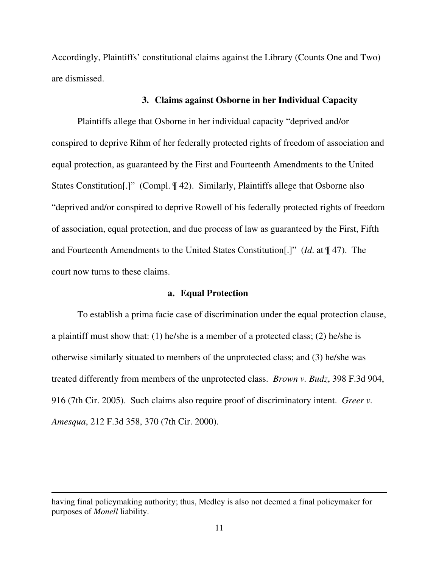Accordingly, Plaintiffs' constitutional claims against the Library (Counts One and Two) are dismissed.

## **3. Claims against Osborne in her Individual Capacity**

Plaintiffs allege that Osborne in her individual capacity "deprived and/or conspired to deprive Rihm of her federally protected rights of freedom of association and equal protection, as guaranteed by the First and Fourteenth Amendments to the United States Constitution[.]" (Compl. ¶ 42). Similarly, Plaintiffs allege that Osborne also "deprived and/or conspired to deprive Rowell of his federally protected rights of freedom of association, equal protection, and due process of law as guaranteed by the First, Fifth and Fourteenth Amendments to the United States Constitution[.]" (*Id*. at ¶ 47). The court now turns to these claims.

## **a. Equal Protection**

To establish a prima facie case of discrimination under the equal protection clause, a plaintiff must show that: (1) he/she is a member of a protected class; (2) he/she is otherwise similarly situated to members of the unprotected class; and (3) he/she was treated differently from members of the unprotected class. *Brown v. Budz*, 398 F.3d 904, 916 (7th Cir. 2005). Such claims also require proof of discriminatory intent. *Greer v. Amesqua*, 212 F.3d 358, 370 (7th Cir. 2000).

having final policymaking authority; thus, Medley is also not deemed a final policymaker for purposes of *Monell* liability.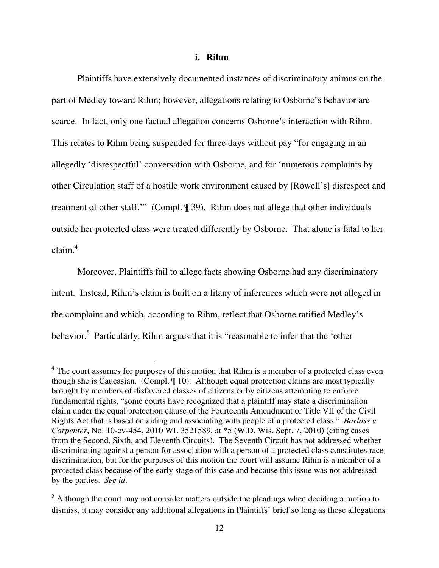#### **i. Rihm**

Plaintiffs have extensively documented instances of discriminatory animus on the part of Medley toward Rihm; however, allegations relating to Osborne's behavior are scarce. In fact, only one factual allegation concerns Osborne's interaction with Rihm. This relates to Rihm being suspended for three days without pay "for engaging in an allegedly 'disrespectful' conversation with Osborne, and for 'numerous complaints by other Circulation staff of a hostile work environment caused by [Rowell's] disrespect and treatment of other staff.'" (Compl. ¶ 39). Rihm does not allege that other individuals outside her protected class were treated differently by Osborne. That alone is fatal to her  $claim<sup>4</sup>$ 

Moreover, Plaintiffs fail to allege facts showing Osborne had any discriminatory intent. Instead, Rihm's claim is built on a litany of inferences which were not alleged in the complaint and which, according to Rihm, reflect that Osborne ratified Medley's behavior.<sup>5</sup> Particularly, Rihm argues that it is "reasonable to infer that the 'other

<sup>&</sup>lt;sup>4</sup> The court assumes for purposes of this motion that Rihm is a member of a protected class even though she is Caucasian. (Compl. ¶ 10). Although equal protection claims are most typically brought by members of disfavored classes of citizens or by citizens attempting to enforce fundamental rights, "some courts have recognized that a plaintiff may state a discrimination claim under the equal protection clause of the Fourteenth Amendment or Title VII of the Civil Rights Act that is based on aiding and associating with people of a protected class." *Barlass v. Carpenter*, No. 10-cv-454, 2010 WL 3521589, at \*5 (W.D. Wis. Sept. 7, 2010) (citing cases from the Second, Sixth, and Eleventh Circuits). The Seventh Circuit has not addressed whether discriminating against a person for association with a person of a protected class constitutes race discrimination, but for the purposes of this motion the court will assume Rihm is a member of a protected class because of the early stage of this case and because this issue was not addressed by the parties. *See id*.

 $<sup>5</sup>$  Although the court may not consider matters outside the pleadings when deciding a motion to</sup> dismiss, it may consider any additional allegations in Plaintiffs' brief so long as those allegations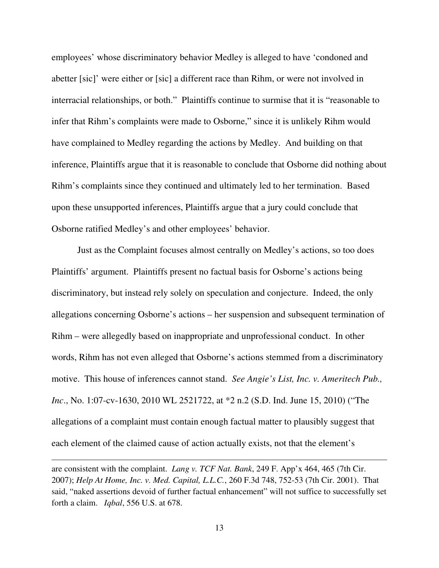employees' whose discriminatory behavior Medley is alleged to have 'condoned and abetter [sic]' were either or [sic] a different race than Rihm, or were not involved in interracial relationships, or both." Plaintiffs continue to surmise that it is "reasonable to infer that Rihm's complaints were made to Osborne," since it is unlikely Rihm would have complained to Medley regarding the actions by Medley. And building on that inference, Plaintiffs argue that it is reasonable to conclude that Osborne did nothing about Rihm's complaints since they continued and ultimately led to her termination. Based upon these unsupported inferences, Plaintiffs argue that a jury could conclude that Osborne ratified Medley's and other employees' behavior.

Just as the Complaint focuses almost centrally on Medley's actions, so too does Plaintiffs' argument. Plaintiffs present no factual basis for Osborne's actions being discriminatory, but instead rely solely on speculation and conjecture. Indeed, the only allegations concerning Osborne's actions – her suspension and subsequent termination of Rihm – were allegedly based on inappropriate and unprofessional conduct. In other words, Rihm has not even alleged that Osborne's actions stemmed from a discriminatory motive. This house of inferences cannot stand. *See Angie's List, Inc. v. Ameritech Pub., Inc*., No. 1:07-cv-1630, 2010 WL 2521722, at \*2 n.2 (S.D. Ind. June 15, 2010) ("The allegations of a complaint must contain enough factual matter to plausibly suggest that each element of the claimed cause of action actually exists, not that the element's

are consistent with the complaint. *Lang v. TCF Nat. Bank*, 249 F. App'x 464, 465 (7th Cir. 2007); *Help At Home, Inc. v. Med. Capital, L.L.C.*, 260 F.3d 748, 752-53 (7th Cir. 2001). That said, "naked assertions devoid of further factual enhancement" will not suffice to successfully set forth a claim. *Iqbal*, 556 U.S. at 678.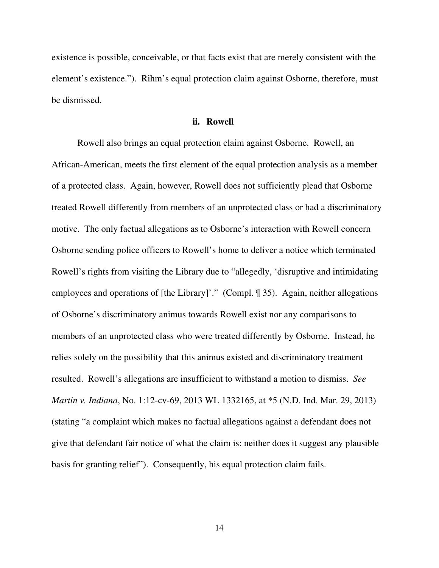existence is possible, conceivable, or that facts exist that are merely consistent with the element's existence."). Rihm's equal protection claim against Osborne, therefore, must be dismissed.

### **ii. Rowell**

Rowell also brings an equal protection claim against Osborne. Rowell, an African-American, meets the first element of the equal protection analysis as a member of a protected class. Again, however, Rowell does not sufficiently plead that Osborne treated Rowell differently from members of an unprotected class or had a discriminatory motive. The only factual allegations as to Osborne's interaction with Rowell concern Osborne sending police officers to Rowell's home to deliver a notice which terminated Rowell's rights from visiting the Library due to "allegedly, 'disruptive and intimidating employees and operations of [the Library]'." (Compl. ¶ 35). Again, neither allegations of Osborne's discriminatory animus towards Rowell exist nor any comparisons to members of an unprotected class who were treated differently by Osborne. Instead, he relies solely on the possibility that this animus existed and discriminatory treatment resulted. Rowell's allegations are insufficient to withstand a motion to dismiss. *See Martin v. Indiana*, No. 1:12-cv-69, 2013 WL 1332165, at \*5 (N.D. Ind. Mar. 29, 2013) (stating "a complaint which makes no factual allegations against a defendant does not give that defendant fair notice of what the claim is; neither does it suggest any plausible basis for granting relief"). Consequently, his equal protection claim fails.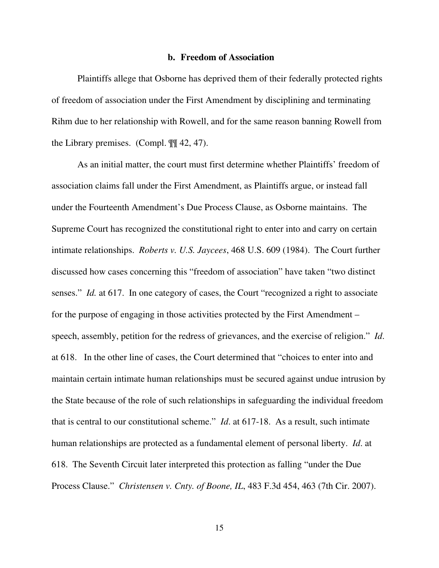#### **b. Freedom of Association**

Plaintiffs allege that Osborne has deprived them of their federally protected rights of freedom of association under the First Amendment by disciplining and terminating Rihm due to her relationship with Rowell, and for the same reason banning Rowell from the Library premises. (Compl. ¶¶ 42, 47).

As an initial matter, the court must first determine whether Plaintiffs' freedom of association claims fall under the First Amendment, as Plaintiffs argue, or instead fall under the Fourteenth Amendment's Due Process Clause, as Osborne maintains. The Supreme Court has recognized the constitutional right to enter into and carry on certain intimate relationships. *Roberts v. U.S. Jaycees*, 468 U.S. 609 (1984). The Court further discussed how cases concerning this "freedom of association" have taken "two distinct senses." *Id.* at 617. In one category of cases, the Court "recognized a right to associate for the purpose of engaging in those activities protected by the First Amendment – speech, assembly, petition for the redress of grievances, and the exercise of religion." *Id*. at 618. In the other line of cases, the Court determined that "choices to enter into and maintain certain intimate human relationships must be secured against undue intrusion by the State because of the role of such relationships in safeguarding the individual freedom that is central to our constitutional scheme." *Id*. at 617-18. As a result, such intimate human relationships are protected as a fundamental element of personal liberty. *Id*. at 618. The Seventh Circuit later interpreted this protection as falling "under the Due Process Clause." *Christensen v. Cnty. of Boone, IL*, 483 F.3d 454, 463 (7th Cir. 2007).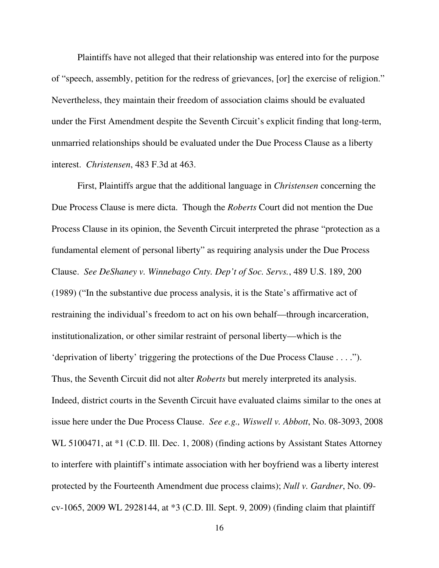Plaintiffs have not alleged that their relationship was entered into for the purpose of "speech, assembly, petition for the redress of grievances, [or] the exercise of religion." Nevertheless, they maintain their freedom of association claims should be evaluated under the First Amendment despite the Seventh Circuit's explicit finding that long-term, unmarried relationships should be evaluated under the Due Process Clause as a liberty interest. *Christensen*, 483 F.3d at 463.

First, Plaintiffs argue that the additional language in *Christensen* concerning the Due Process Clause is mere dicta. Though the *Roberts* Court did not mention the Due Process Clause in its opinion, the Seventh Circuit interpreted the phrase "protection as a fundamental element of personal liberty" as requiring analysis under the Due Process Clause. *See DeShaney v. Winnebago Cnty. Dep't of Soc. Servs.*, 489 U.S. 189, 200 (1989) ("In the substantive due process analysis, it is the State's affirmative act of restraining the individual's freedom to act on his own behalf—through incarceration, institutionalization, or other similar restraint of personal liberty—which is the 'deprivation of liberty' triggering the protections of the Due Process Clause . . . ."). Thus, the Seventh Circuit did not alter *Roberts* but merely interpreted its analysis. Indeed, district courts in the Seventh Circuit have evaluated claims similar to the ones at issue here under the Due Process Clause. *See e.g., Wiswell v. Abbott*, No. 08-3093, 2008 WL 5100471, at \*1 (C.D. Ill. Dec. 1, 2008) (finding actions by Assistant States Attorney to interfere with plaintiff's intimate association with her boyfriend was a liberty interest protected by the Fourteenth Amendment due process claims); *Null v. Gardner*, No. 09 cv-1065, 2009 WL 2928144, at \*3 (C.D. Ill. Sept. 9, 2009) (finding claim that plaintiff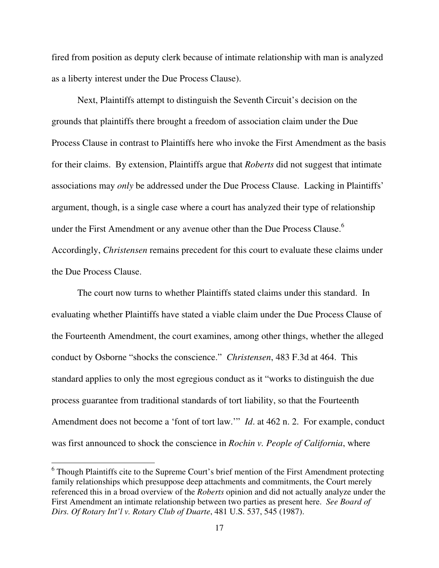fired from position as deputy clerk because of intimate relationship with man is analyzed as a liberty interest under the Due Process Clause).

 Next, Plaintiffs attempt to distinguish the Seventh Circuit's decision on the grounds that plaintiffs there brought a freedom of association claim under the Due Process Clause in contrast to Plaintiffs here who invoke the First Amendment as the basis for their claims. By extension, Plaintiffs argue that *Roberts* did not suggest that intimate associations may *only* be addressed under the Due Process Clause. Lacking in Plaintiffs' argument, though, is a single case where a court has analyzed their type of relationship under the First Amendment or any avenue other than the Due Process Clause.<sup>6</sup> Accordingly, *Christensen* remains precedent for this court to evaluate these claims under the Due Process Clause.

The court now turns to whether Plaintiffs stated claims under this standard. In evaluating whether Plaintiffs have stated a viable claim under the Due Process Clause of the Fourteenth Amendment, the court examines, among other things, whether the alleged conduct by Osborne "shocks the conscience." *Christensen*, 483 F.3d at 464. This standard applies to only the most egregious conduct as it "works to distinguish the due process guarantee from traditional standards of tort liability, so that the Fourteenth Amendment does not become a 'font of tort law.'" *Id*. at 462 n. 2. For example, conduct was first announced to shock the conscience in *Rochin v. People of California*, where

<sup>&</sup>lt;sup>6</sup> Though Plaintiffs cite to the Supreme Court's brief mention of the First Amendment protecting family relationships which presuppose deep attachments and commitments, the Court merely referenced this in a broad overview of the *Roberts* opinion and did not actually analyze under the First Amendment an intimate relationship between two parties as present here. *See Board of Dirs. Of Rotary Int'l v. Rotary Club of Duarte*, 481 U.S. 537, 545 (1987).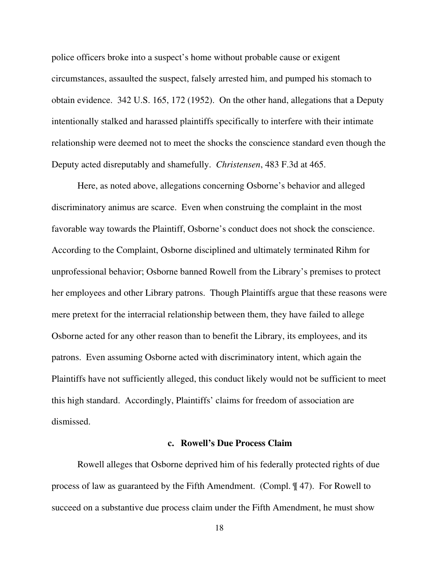police officers broke into a suspect's home without probable cause or exigent circumstances, assaulted the suspect, falsely arrested him, and pumped his stomach to obtain evidence. 342 U.S. 165, 172 (1952). On the other hand, allegations that a Deputy intentionally stalked and harassed plaintiffs specifically to interfere with their intimate relationship were deemed not to meet the shocks the conscience standard even though the Deputy acted disreputably and shamefully. *Christensen*, 483 F.3d at 465.

Here, as noted above, allegations concerning Osborne's behavior and alleged discriminatory animus are scarce. Even when construing the complaint in the most favorable way towards the Plaintiff, Osborne's conduct does not shock the conscience. According to the Complaint, Osborne disciplined and ultimately terminated Rihm for unprofessional behavior; Osborne banned Rowell from the Library's premises to protect her employees and other Library patrons. Though Plaintiffs argue that these reasons were mere pretext for the interracial relationship between them, they have failed to allege Osborne acted for any other reason than to benefit the Library, its employees, and its patrons. Even assuming Osborne acted with discriminatory intent, which again the Plaintiffs have not sufficiently alleged, this conduct likely would not be sufficient to meet this high standard. Accordingly, Plaintiffs' claims for freedom of association are dismissed.

## **c. Rowell's Due Process Claim**

Rowell alleges that Osborne deprived him of his federally protected rights of due process of law as guaranteed by the Fifth Amendment. (Compl. ¶ 47). For Rowell to succeed on a substantive due process claim under the Fifth Amendment, he must show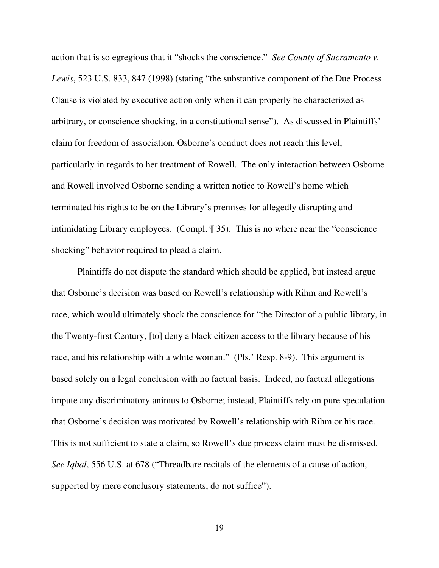action that is so egregious that it "shocks the conscience." *See County of Sacramento v. Lewis*, 523 U.S. 833, 847 (1998) (stating "the substantive component of the Due Process Clause is violated by executive action only when it can properly be characterized as arbitrary, or conscience shocking, in a constitutional sense"). As discussed in Plaintiffs' claim for freedom of association, Osborne's conduct does not reach this level, particularly in regards to her treatment of Rowell. The only interaction between Osborne and Rowell involved Osborne sending a written notice to Rowell's home which terminated his rights to be on the Library's premises for allegedly disrupting and intimidating Library employees. (Compl. ¶ 35). This is no where near the "conscience shocking" behavior required to plead a claim.

Plaintiffs do not dispute the standard which should be applied, but instead argue that Osborne's decision was based on Rowell's relationship with Rihm and Rowell's race, which would ultimately shock the conscience for "the Director of a public library, in the Twenty-first Century, [to] deny a black citizen access to the library because of his race, and his relationship with a white woman." (Pls.' Resp. 8-9). This argument is based solely on a legal conclusion with no factual basis. Indeed, no factual allegations impute any discriminatory animus to Osborne; instead, Plaintiffs rely on pure speculation that Osborne's decision was motivated by Rowell's relationship with Rihm or his race. This is not sufficient to state a claim, so Rowell's due process claim must be dismissed. *See Iqbal*, 556 U.S. at 678 ("Threadbare recitals of the elements of a cause of action, supported by mere conclusory statements, do not suffice").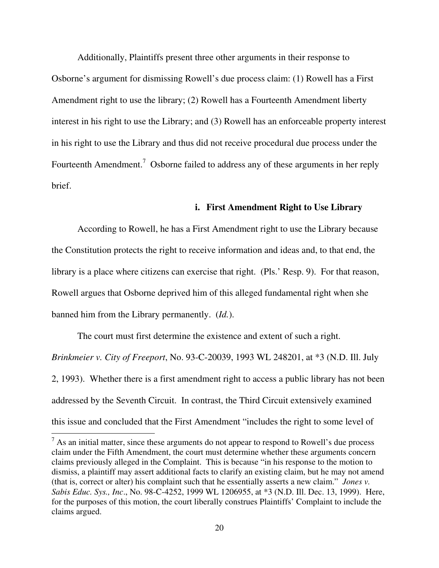Additionally, Plaintiffs present three other arguments in their response to Osborne's argument for dismissing Rowell's due process claim: (1) Rowell has a First Amendment right to use the library; (2) Rowell has a Fourteenth Amendment liberty interest in his right to use the Library; and (3) Rowell has an enforceable property interest in his right to use the Library and thus did not receive procedural due process under the Fourteenth Amendment.<sup>7</sup> Osborne failed to address any of these arguments in her reply brief.

### **i. First Amendment Right to Use Library**

According to Rowell, he has a First Amendment right to use the Library because the Constitution protects the right to receive information and ideas and, to that end, the library is a place where citizens can exercise that right. (Pls.' Resp. 9). For that reason, Rowell argues that Osborne deprived him of this alleged fundamental right when she banned him from the Library permanently. (*Id.*).

The court must first determine the existence and extent of such a right. *Brinkmeier v. City of Freeport*, No. 93-C-20039, 1993 WL 248201, at \*3 (N.D. Ill. July 2, 1993). Whether there is a first amendment right to access a public library has not been addressed by the Seventh Circuit. In contrast, the Third Circuit extensively examined this issue and concluded that the First Amendment "includes the right to some level of

 $<sup>7</sup>$  As an initial matter, since these arguments do not appear to respond to Rowell's due process</sup> claim under the Fifth Amendment, the court must determine whether these arguments concern claims previously alleged in the Complaint. This is because "in his response to the motion to dismiss, a plaintiff may assert additional facts to clarify an existing claim, but he may not amend (that is, correct or alter) his complaint such that he essentially asserts a new claim." *Jones v. Sabis Educ. Sys., Inc*., No. 98-C-4252, 1999 WL 1206955, at \*3 (N.D. Ill. Dec. 13, 1999). Here, for the purposes of this motion, the court liberally construes Plaintiffs' Complaint to include the claims argued.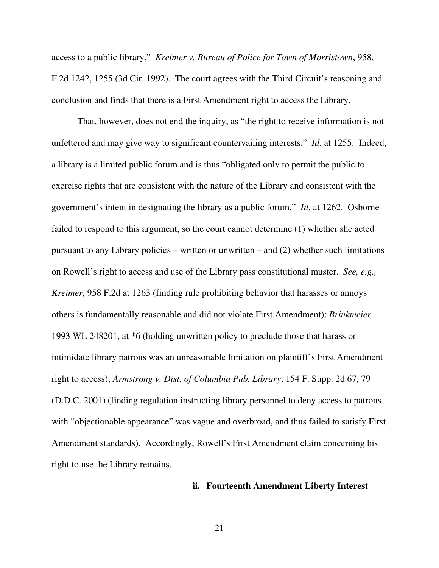access to a public library." *Kreimer v. Bureau of Police for Town of Morristown*, 958, F.2d 1242, 1255 (3d Cir. 1992). The court agrees with the Third Circuit's reasoning and conclusion and finds that there is a First Amendment right to access the Library.

That, however, does not end the inquiry, as "the right to receive information is not unfettered and may give way to significant countervailing interests." *Id.* at 1255. Indeed, a library is a limited public forum and is thus "obligated only to permit the public to exercise rights that are consistent with the nature of the Library and consistent with the government's intent in designating the library as a public forum." *Id*. at 1262. Osborne failed to respond to this argument, so the court cannot determine (1) whether she acted pursuant to any Library policies – written or unwritten – and (2) whether such limitations on Rowell's right to access and use of the Library pass constitutional muster. *See, e.g., Kreimer*, 958 F.2d at 1263 (finding rule prohibiting behavior that harasses or annoys others is fundamentally reasonable and did not violate First Amendment); *Brinkmeier* 1993 WL 248201, at \*6 (holding unwritten policy to preclude those that harass or intimidate library patrons was an unreasonable limitation on plaintiff's First Amendment right to access); *Armstrong v. Dist. of Columbia Pub. Library*, 154 F. Supp. 2d 67, 79 (D.D.C. 2001) (finding regulation instructing library personnel to deny access to patrons with "objectionable appearance" was vague and overbroad, and thus failed to satisfy First Amendment standards). Accordingly, Rowell's First Amendment claim concerning his right to use the Library remains.

## **ii. Fourteenth Amendment Liberty Interest**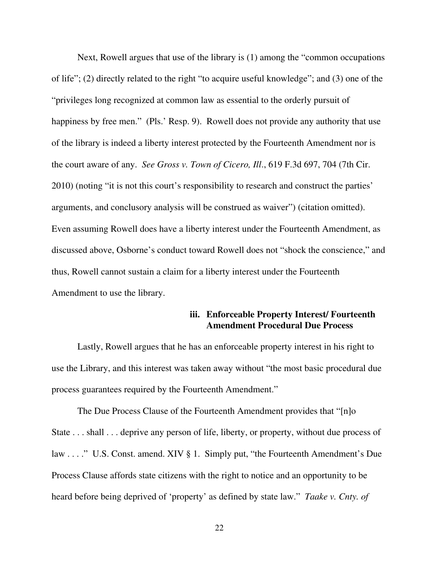Next, Rowell argues that use of the library is (1) among the "common occupations of life"; (2) directly related to the right "to acquire useful knowledge"; and (3) one of the "privileges long recognized at common law as essential to the orderly pursuit of happiness by free men." (Pls.' Resp. 9). Rowell does not provide any authority that use of the library is indeed a liberty interest protected by the Fourteenth Amendment nor is the court aware of any. *See Gross v. Town of Cicero, Ill*., 619 F.3d 697, 704 (7th Cir. 2010) (noting "it is not this court's responsibility to research and construct the parties' arguments, and conclusory analysis will be construed as waiver") (citation omitted). Even assuming Rowell does have a liberty interest under the Fourteenth Amendment, as discussed above, Osborne's conduct toward Rowell does not "shock the conscience," and thus, Rowell cannot sustain a claim for a liberty interest under the Fourteenth Amendment to use the library.

## **iii. Enforceable Property Interest/ Fourteenth Amendment Procedural Due Process**

Lastly, Rowell argues that he has an enforceable property interest in his right to use the Library, and this interest was taken away without "the most basic procedural due process guarantees required by the Fourteenth Amendment."

The Due Process Clause of the Fourteenth Amendment provides that "[n]o State . . . shall . . . deprive any person of life, liberty, or property, without due process of law . . . . " U.S. Const. amend. XIV § 1. Simply put, "the Fourteenth Amendment's Due Process Clause affords state citizens with the right to notice and an opportunity to be heard before being deprived of 'property' as defined by state law." *Taake v. Cnty. of*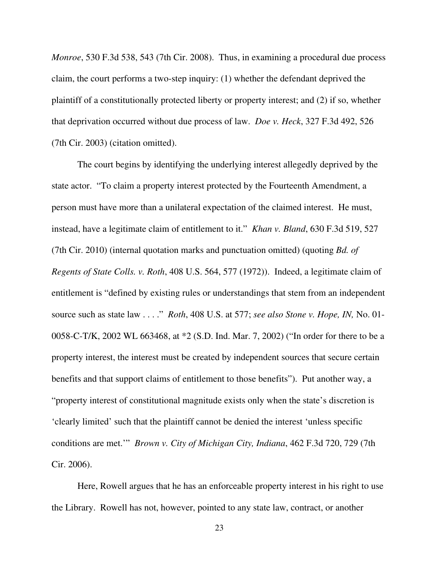*Monroe*, 530 F.3d 538, 543 (7th Cir. 2008). Thus, in examining a procedural due process claim, the court performs a two-step inquiry: (1) whether the defendant deprived the plaintiff of a constitutionally protected liberty or property interest; and (2) if so, whether that deprivation occurred without due process of law. *Doe v. Heck*, 327 F.3d 492, 526 (7th Cir. 2003) (citation omitted).

The court begins by identifying the underlying interest allegedly deprived by the state actor. "To claim a property interest protected by the Fourteenth Amendment, a person must have more than a unilateral expectation of the claimed interest. He must, instead, have a legitimate claim of entitlement to it." *Khan v. Bland*, 630 F.3d 519, 527 (7th Cir. 2010) (internal quotation marks and punctuation omitted) (quoting *Bd. of Regents of State Colls. v. Roth*, 408 U.S. 564, 577 (1972)). Indeed, a legitimate claim of entitlement is "defined by existing rules or understandings that stem from an independent source such as state law . . . ." *Roth*, 408 U.S. at 577; *see also Stone v. Hope, IN,* No. 01- 0058-C-T/K, 2002 WL 663468, at \*2 (S.D. Ind. Mar. 7, 2002) ("In order for there to be a property interest, the interest must be created by independent sources that secure certain benefits and that support claims of entitlement to those benefits"). Put another way, a "property interest of constitutional magnitude exists only when the state's discretion is 'clearly limited' such that the plaintiff cannot be denied the interest 'unless specific conditions are met.'" *Brown v. City of Michigan City, Indiana*, 462 F.3d 720, 729 (7th Cir. 2006).

 Here, Rowell argues that he has an enforceable property interest in his right to use the Library. Rowell has not, however, pointed to any state law, contract, or another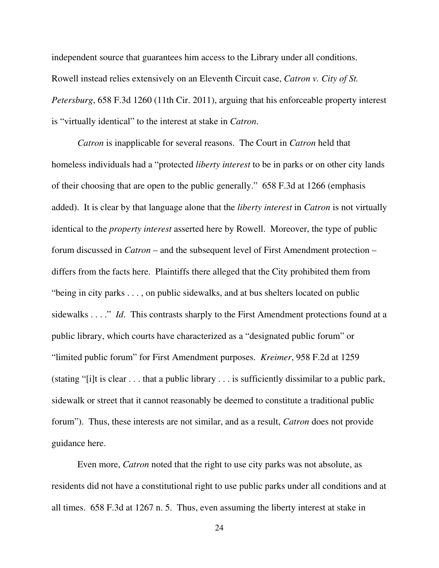independent source that guarantees him access to the Library under all conditions. Rowell instead relies extensively on an Eleventh Circuit case, *Catron v. City of St. Petersburg*, 658 F.3d 1260 (11th Cir. 2011), arguing that his enforceable property interest is "virtually identical" to the interest at stake in *Catron*.

*Catron* is inapplicable for several reasons. The Court in *Catron* held that homeless individuals had a "protected *liberty interest* to be in parks or on other city lands of their choosing that are open to the public generally." 658 F.3d at 1266 (emphasis added). It is clear by that language alone that the *liberty interest* in *Catron* is not virtually identical to the *property interest* asserted here by Rowell. Moreover, the type of public forum discussed in *Catron* – and the subsequent level of First Amendment protection – differs from the facts here. Plaintiffs there alleged that the City prohibited them from "being in city parks . . . , on public sidewalks, and at bus shelters located on public sidewalks . . . ." *Id*. This contrasts sharply to the First Amendment protections found at a public library, which courts have characterized as a "designated public forum" or "limited public forum" for First Amendment purposes. *Kreimer*, 958 F.2d at 1259 (stating "[i]t is clear . . . that a public library . . . is sufficiently dissimilar to a public park, sidewalk or street that it cannot reasonably be deemed to constitute a traditional public forum"). Thus, these interests are not similar, and as a result, *Catron* does not provide guidance here.

Even more, *Catron* noted that the right to use city parks was not absolute, as residents did not have a constitutional right to use public parks under all conditions and at all times. 658 F.3d at 1267 n. 5. Thus, even assuming the liberty interest at stake in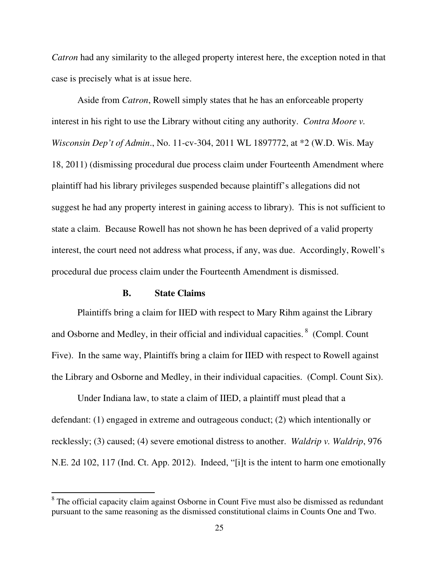*Catron* had any similarity to the alleged property interest here, the exception noted in that case is precisely what is at issue here.

Aside from *Catron*, Rowell simply states that he has an enforceable property interest in his right to use the Library without citing any authority. *Contra Moore v. Wisconsin Dep't of Admin*., No. 11-cv-304, 2011 WL 1897772, at \*2 (W.D. Wis. May 18, 2011) (dismissing procedural due process claim under Fourteenth Amendment where plaintiff had his library privileges suspended because plaintiff's allegations did not suggest he had any property interest in gaining access to library). This is not sufficient to state a claim. Because Rowell has not shown he has been deprived of a valid property interest, the court need not address what process, if any, was due. Accordingly, Rowell's procedural due process claim under the Fourteenth Amendment is dismissed.

## **B. State Claims**

-

Plaintiffs bring a claim for IIED with respect to Mary Rihm against the Library and Osborne and Medley, in their official and individual capacities.  $8 \text{ (Compl. Count)}$ Five). In the same way, Plaintiffs bring a claim for IIED with respect to Rowell against the Library and Osborne and Medley, in their individual capacities. (Compl. Count Six).

Under Indiana law, to state a claim of IIED, a plaintiff must plead that a defendant: (1) engaged in extreme and outrageous conduct; (2) which intentionally or recklessly; (3) caused; (4) severe emotional distress to another. *Waldrip v. Waldrip*, 976 N.E. 2d 102, 117 (Ind. Ct. App. 2012). Indeed, "[i]t is the intent to harm one emotionally

<sup>&</sup>lt;sup>8</sup> The official capacity claim against Osborne in Count Five must also be dismissed as redundant pursuant to the same reasoning as the dismissed constitutional claims in Counts One and Two.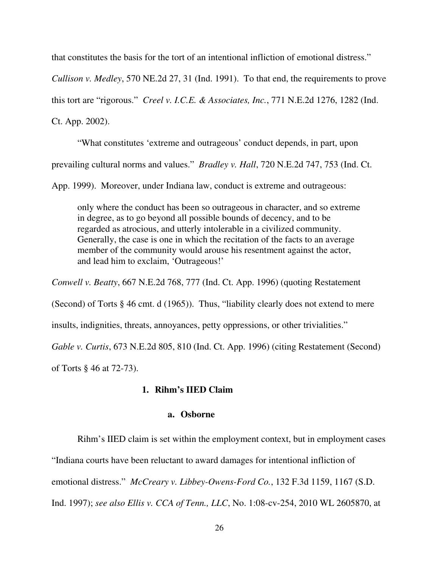that constitutes the basis for the tort of an intentional infliction of emotional distress."

*Cullison v. Medley*, 570 NE.2d 27, 31 (Ind. 1991). To that end, the requirements to prove

this tort are "rigorous." *Creel v. I.C.E. & Associates, Inc.*, 771 N.E.2d 1276, 1282 (Ind.

Ct. App. 2002).

"What constitutes 'extreme and outrageous' conduct depends, in part, upon prevailing cultural norms and values." *Bradley v. Hall*, 720 N.E.2d 747, 753 (Ind. Ct.

App. 1999). Moreover, under Indiana law, conduct is extreme and outrageous:

only where the conduct has been so outrageous in character, and so extreme in degree, as to go beyond all possible bounds of decency, and to be regarded as atrocious, and utterly intolerable in a civilized community. Generally, the case is one in which the recitation of the facts to an average member of the community would arouse his resentment against the actor, and lead him to exclaim, 'Outrageous!'

*Conwell v. Beatty*, 667 N.E.2d 768, 777 (Ind. Ct. App. 1996) (quoting Restatement (Second) of Torts § 46 cmt. d (1965)). Thus, "liability clearly does not extend to mere insults, indignities, threats, annoyances, petty oppressions, or other trivialities." *Gable v. Curtis*, 673 N.E.2d 805, 810 (Ind. Ct. App. 1996) (citing Restatement (Second) of Torts § 46 at 72-73).

## **1. Rihm's IIED Claim**

### **a. Osborne**

Rihm's IIED claim is set within the employment context, but in employment cases

"Indiana courts have been reluctant to award damages for intentional infliction of

emotional distress." *McCreary v. Libbey-Owens-Ford Co.*, 132 F.3d 1159, 1167 (S.D.

Ind. 1997); *see also Ellis v. CCA of Tenn., LLC*, No. 1:08-cv-254, 2010 WL 2605870, at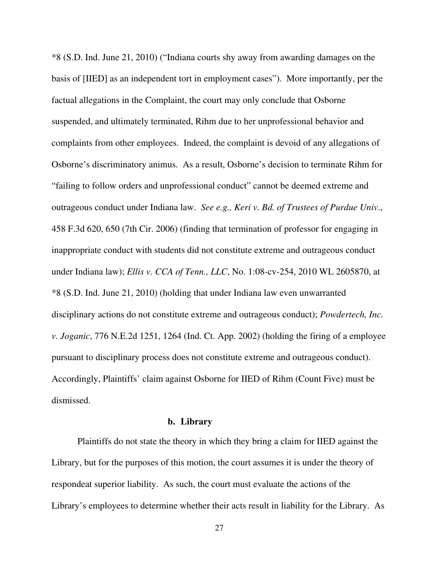\*8 (S.D. Ind. June 21, 2010) ("Indiana courts shy away from awarding damages on the basis of [IIED] as an independent tort in employment cases"). More importantly, per the factual allegations in the Complaint, the court may only conclude that Osborne suspended, and ultimately terminated, Rihm due to her unprofessional behavior and complaints from other employees. Indeed, the complaint is devoid of any allegations of Osborne's discriminatory animus. As a result, Osborne's decision to terminate Rihm for "failing to follow orders and unprofessional conduct" cannot be deemed extreme and outrageous conduct under Indiana law. *See e.g., Keri v. Bd. of Trustees of Purdue Univ*., 458 F.3d 620, 650 (7th Cir. 2006) (finding that termination of professor for engaging in inappropriate conduct with students did not constitute extreme and outrageous conduct under Indiana law); *Ellis v. CCA of Tenn., LLC*, No. 1:08-cv-254, 2010 WL 2605870, at \*8 (S.D. Ind. June 21, 2010) (holding that under Indiana law even unwarranted disciplinary actions do not constitute extreme and outrageous conduct); *Powdertech, Inc. v. Joganic*, 776 N.E.2d 1251, 1264 (Ind. Ct. App. 2002) (holding the firing of a employee pursuant to disciplinary process does not constitute extreme and outrageous conduct). Accordingly, Plaintiffs' claim against Osborne for IIED of Rihm (Count Five) must be dismissed.

### **b. Library**

Plaintiffs do not state the theory in which they bring a claim for IIED against the Library, but for the purposes of this motion, the court assumes it is under the theory of respondeat superior liability. As such, the court must evaluate the actions of the Library's employees to determine whether their acts result in liability for the Library. As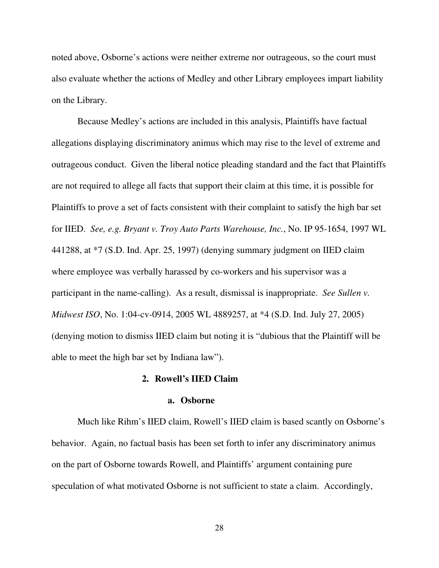noted above, Osborne's actions were neither extreme nor outrageous, so the court must also evaluate whether the actions of Medley and other Library employees impart liability on the Library.

Because Medley's actions are included in this analysis, Plaintiffs have factual allegations displaying discriminatory animus which may rise to the level of extreme and outrageous conduct. Given the liberal notice pleading standard and the fact that Plaintiffs are not required to allege all facts that support their claim at this time, it is possible for Plaintiffs to prove a set of facts consistent with their complaint to satisfy the high bar set for IIED. *See, e.g. Bryant v. Troy Auto Parts Warehouse, Inc.*, No. IP 95-1654, 1997 WL 441288, at \*7 (S.D. Ind. Apr. 25, 1997) (denying summary judgment on IIED claim where employee was verbally harassed by co-workers and his supervisor was a participant in the name-calling). As a result, dismissal is inappropriate. *See Sullen v. Midwest ISO*, No. 1:04-cv-0914, 2005 WL 4889257, at \*4 (S.D. Ind. July 27, 2005) (denying motion to dismiss IIED claim but noting it is "dubious that the Plaintiff will be able to meet the high bar set by Indiana law").

### **2. Rowell's IIED Claim**

#### **a. Osborne**

Much like Rihm's IIED claim, Rowell's IIED claim is based scantly on Osborne's behavior. Again, no factual basis has been set forth to infer any discriminatory animus on the part of Osborne towards Rowell, and Plaintiffs' argument containing pure speculation of what motivated Osborne is not sufficient to state a claim. Accordingly,